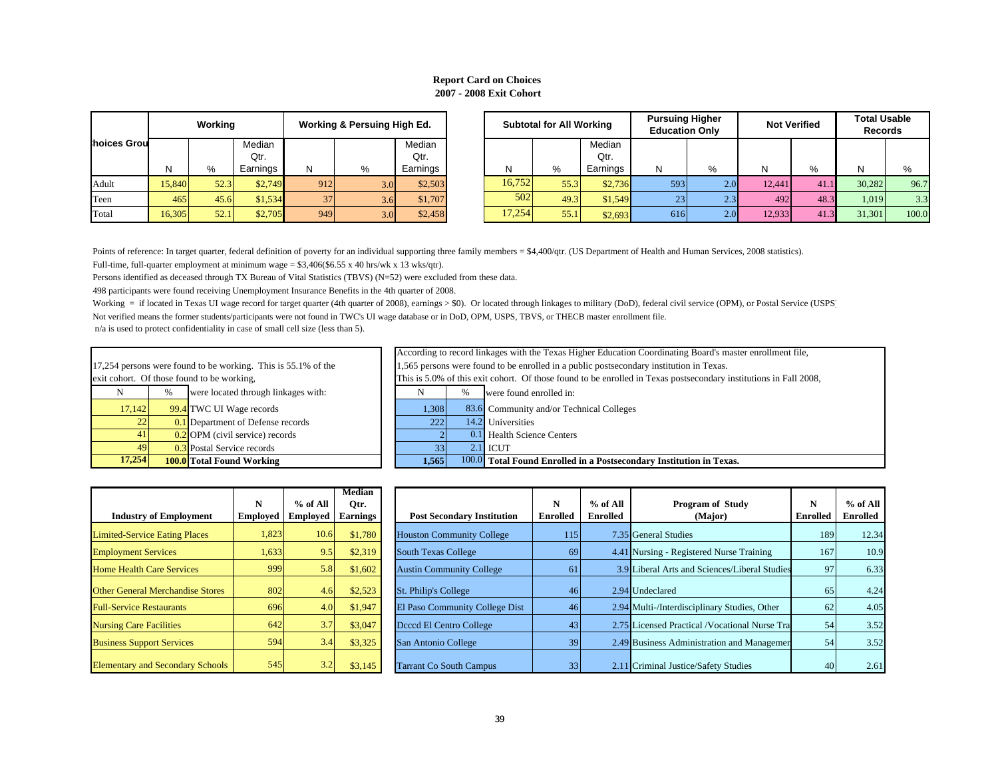# **Report Card on Choices 2007 - 2008 Exit Cohort**

|                                    |        | Working |          | Working & Persuing High Ed. |     |          |  |  |  |  |  |
|------------------------------------|--------|---------|----------|-----------------------------|-----|----------|--|--|--|--|--|
| hoices Grou                        |        |         | Median   |                             |     | Median   |  |  |  |  |  |
|                                    |        |         | Qtr.     |                             |     | Qtr.     |  |  |  |  |  |
|                                    | N      | %       | Earnings | Ν                           | %   | Earnings |  |  |  |  |  |
| Adult                              | 15,840 | 52.3    | \$2,749  | 912                         | 3.0 | \$2,503  |  |  |  |  |  |
| Teen                               | 465    | 45.6    | \$1,534  | 37                          | 3.6 | \$1,707  |  |  |  |  |  |
| 16,305<br>\$2,705<br>Total<br>52.1 |        | 949     | 3.0      | \$2,458                     |     |          |  |  |  |  |  |

|          |        | Working |                |     | Working & Persuing High Ed. |                |        | <b>Subtotal for All Working</b> |                | <b>Pursuing Higher</b><br><b>Education Only</b> |     |        | <b>Not Verified</b> | <b>Total Usable</b><br><b>Records</b> |       |
|----------|--------|---------|----------------|-----|-----------------------------|----------------|--------|---------------------------------|----------------|-------------------------------------------------|-----|--------|---------------------|---------------------------------------|-------|
| ces Grou |        |         | Median<br>Qtr. |     |                             | Median<br>Qtr. |        |                                 | Median<br>Qtr. |                                                 |     |        |                     |                                       |       |
|          |        | %       | Earnings       | N   | %                           | Earnings       | N      | %                               | Earnings       |                                                 |     | N.     | %                   |                                       |       |
| ılt      | 15.840 | 52.3    | \$2.749        | 912 | 3.0 <sup>l</sup>            | \$2,503        | 16,752 | 55.3                            | \$2.736        | 593                                             | 2.0 | 12,441 | $-41.$              | 30.282                                | 96.7  |
|          | 465    | 45.6    | \$1,534        | 37  | 3.6                         | \$1,707        | 502    | 49.3                            | \$1,549        | 23                                              | 2.3 | 492    | 48.3                | 1,019                                 | 3.3   |
|          | 16,305 | 52.1    | \$2,705        | 949 | 3.0                         | \$2,458        | 17,254 | 55.1                            | \$2,693        | 616                                             | 2.0 | 12.933 |                     | 31,301                                | 100.0 |

Points of reference: In target quarter, federal definition of poverty for an individual supporting three family members = \$4,400/qtr. (US Department of Health and Human Services, 2008 statistics).

Full-time, full-quarter employment at minimum wage =  $$3,406$ (\$6.55 x 40 hrs/wk x 13 wks/qtr).

Persons identified as deceased through TX Bureau of Vital Statistics (TBVS) (N=52) were excluded from these data.

498 participants were found receiving Unemployment Insurance Benefits in the 4th quarter of 2008.

Working = if located in Texas UI wage record for target quarter (4th quarter of 2008), earnings > \$0). Or located through linkages to military (DoD), federal civil service (OPM), or Postal Service (USPS)

Not verified means the former students/participants were not found in TWC's UI wage database or in DoD, OPM, USPS, TBVS, or THECB master enrollment file.

| 17.254 |      | <b>100.0</b> Total Found Working                              | 1.565                                |     | 100.0 Total Foun  |
|--------|------|---------------------------------------------------------------|--------------------------------------|-----|-------------------|
| 49     |      | 0.3 Postal Service records                                    | 33                                   | 2.1 | <b>ICUT</b>       |
| 41     |      | $0.2$ OPM (civil service) records                             |                                      |     | 0.1 Health Scie   |
| 22     |      | 0.1 Department of Defense records                             | 222                                  |     | 14.2 Universities |
| 17.142 |      | 99.4 TWC UI Wage records                                      | 1.308                                |     | 83.6 Community    |
| N      | $\%$ | were located through linkages with:                           |                                      | %   | were found e      |
|        |      | exit cohort. Of those found to be working,                    | This is 5.0% of this exit cohort. Of |     |                   |
|        |      | 17,254 persons were found to be working. This is 55.1% of the | 1,565 persons were found to be enro  |     |                   |
|        |      |                                                               | $\ldots$                             |     |                   |

|                                            |                                                               |                                   |  |                                                                                                                   |                                                                                         | According to record linkages with the Texas Higher Education Coordinating Board's master enrollment file, |  |  |  |  |
|--------------------------------------------|---------------------------------------------------------------|-----------------------------------|--|-------------------------------------------------------------------------------------------------------------------|-----------------------------------------------------------------------------------------|-----------------------------------------------------------------------------------------------------------|--|--|--|--|
|                                            | 17,254 persons were found to be working. This is 55.1% of the |                                   |  |                                                                                                                   | 1,565 persons were found to be enrolled in a public postsecondary institution in Texas. |                                                                                                           |  |  |  |  |
| exit cohort. Of those found to be working, |                                                               |                                   |  | This is 5.0% of this exit cohort. Of those found to be enrolled in Texas postsecondary institutions in Fall 2008, |                                                                                         |                                                                                                           |  |  |  |  |
| N                                          | were located through linkages with:                           |                                   |  |                                                                                                                   |                                                                                         | were found enrolled in:                                                                                   |  |  |  |  |
| 17,142                                     |                                                               | 99.4 TWC UI Wage records          |  | 1,308                                                                                                             |                                                                                         | 83.6 Community and/or Technical Colleges                                                                  |  |  |  |  |
| 22                                         |                                                               | 0.1 Department of Defense records |  | 222                                                                                                               |                                                                                         | 14.2 Universities                                                                                         |  |  |  |  |
| 41                                         |                                                               | $0.2$ OPM (civil service) records |  |                                                                                                                   |                                                                                         | 0.1 Health Science Centers                                                                                |  |  |  |  |
| 49                                         |                                                               | 0.3 Postal Service records        |  |                                                                                                                   |                                                                                         | $2.1$ ICUT                                                                                                |  |  |  |  |
|                                            | 17,254<br><b>100.0</b> Total Found Working                    |                                   |  | 1,565                                                                                                             |                                                                                         | 100.0 Total Found Enrolled in a Postsecondary Institution in Texas.                                       |  |  |  |  |

| <b>Industry of Employment</b>           | N<br><b>Employed</b> | % of All<br><b>Employed</b> | <b>Median</b><br>Otr.<br><b>Earnings</b> |  |
|-----------------------------------------|----------------------|-----------------------------|------------------------------------------|--|
| <b>Limited-Service Eating Places</b>    | 1,823                | 10.6                        | \$1,780                                  |  |
| <b>Employment Services</b>              | 1,633                | 9.5                         | \$2,319                                  |  |
| <b>Home Health Care Services</b>        | 999                  | 5.8                         | \$1,602                                  |  |
| <b>Other General Merchandise Stores</b> | 802                  | 4.6                         | \$2,523                                  |  |
| <b>Full-Service Restaurants</b>         | 696                  | 4.0                         | \$1.947                                  |  |
| <b>Nursing Care Facilities</b>          | 642                  | 3.7                         | \$3,047                                  |  |
| <b>Business Support Services</b>        | 594                  | 3.4                         | \$3,325                                  |  |
| <b>Elementary and Secondary Schools</b> | 545                  | 3.2                         | \$3.145                                  |  |

| <b>Industry of Employment</b>           | N<br><b>Employed</b> | $%$ of All<br>Emploved | <b>Median</b><br>Qtr.<br><b>Earnings</b> | <b>Post Secondary Institution</b> | N<br>Enrolled | $%$ of All<br><b>Enrolled</b> | <b>Program of Study</b><br>(Major)              | N<br>Enrolled | $%$ of All<br>Enrolled |
|-----------------------------------------|----------------------|------------------------|------------------------------------------|-----------------------------------|---------------|-------------------------------|-------------------------------------------------|---------------|------------------------|
| <b>Limited-Service Eating Places</b>    | 1,823                | 10.6                   | \$1,780                                  | <b>Houston Community College</b>  | 115           |                               | 7.35 General Studies                            | 189           | 12.34                  |
| <b>Employment Services</b>              | 1,633                | 9.5                    | \$2,319                                  | <b>South Texas College</b>        | 69            |                               | 4.41 Nursing - Registered Nurse Training        | 167           | 10.9                   |
| <b>Home Health Care Services</b>        | 999                  | 5.8                    | \$1,602                                  | <b>Austin Community College</b>   | 61            |                               | 3.9 Liberal Arts and Sciences/Liberal Studies   | 97            | 6.33                   |
| <b>Other General Merchandise Stores</b> | 802                  | 4.6                    | \$2,523                                  | St. Philip's College              | 46            |                               | 2.94 Undeclared                                 | 65            | 4.24                   |
| <b>Full-Service Restaurants</b>         | 696                  | 4.0                    | \$1,947                                  | El Paso Community College Dist    | 46            | 2.94                          | Multi-/Interdisciplinary Studies, Other         | 62            | 4.05                   |
| <b>Nursing Care Facilities</b>          | 642                  | 3.7                    | \$3,047                                  | Deced El Centro College           | 43            |                               | 2.75 Licensed Practical / Vocational Nurse Trai | 54            | 3.52                   |
| <b>Business Support Services</b>        | 594                  | 3.4                    | \$3,325                                  | San Antonio College               | 39            |                               | 2.49 Business Administration and Managemen      | 54            | 3.52                   |
| <b>Elementary and Secondary Schools</b> | 545                  | 3.2                    | \$3,145                                  | <b>Tarrant Co South Campus</b>    |               | 2.11                          | Criminal Justice/Safety Studies                 | 40            | 2.61                   |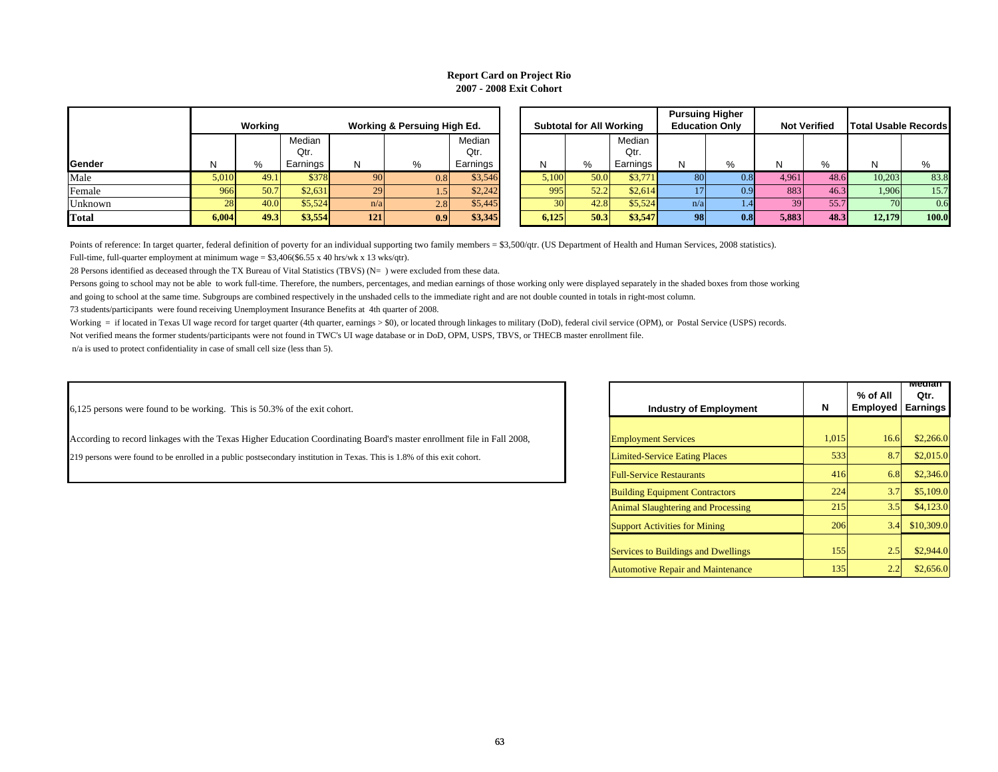# **Report Card on Project Rio 2007 - 2008 Exit Cohort**

|              |           | Working |          |     | Working & Persuing High Ed. |          | <b>Subtotal for All Working</b> |      |        |
|--------------|-----------|---------|----------|-----|-----------------------------|----------|---------------------------------|------|--------|
|              |           |         | Median   |     |                             | Median   |                                 |      | Media  |
|              |           |         | Qtr.     |     |                             | Qtr.     |                                 |      | Qtr.   |
| Gender       | N         | %       | Earnings | N   | $\%$                        | Earnings | N                               | %    | Earnin |
| Male         | 5.010     | 49.1    | \$378    | 90  | 0.8                         | \$3,546  | 5,100                           | 50.0 | $$3$ . |
| Female       | 966       | 50.7    | \$2,631  | 29  | 1.5                         | \$2,242  | 995                             | 52.2 | \$2,   |
| Unknown      | <b>28</b> | 40.0    | \$5,524  | n/a | 2.8                         | \$5,445  | 30                              | 42.8 | \$5,   |
| <b>Total</b> | 6,004     | 49.3    | \$3,554  | 121 | 0.9                         | \$3,345  | 6,125                           | 50.3 | \$3,   |

|      |       |         |          |     |                             |          |  |                                 |      |          |                       | <b>Pursuing Higher</b> |       |                     |                             |       |
|------|-------|---------|----------|-----|-----------------------------|----------|--|---------------------------------|------|----------|-----------------------|------------------------|-------|---------------------|-----------------------------|-------|
|      |       | Working |          |     | Working & Persuing High Ed. |          |  | <b>Subtotal for All Working</b> |      |          | <b>Education Only</b> |                        |       | <b>Not Verified</b> | <b>Total Usable Records</b> |       |
|      |       |         | Median   |     |                             | Median   |  |                                 |      | Median   |                       |                        |       |                     |                             |       |
|      |       |         | Qtr.     |     |                             | Qtr.     |  |                                 |      | Qtr.     |                       |                        |       |                     |                             |       |
| ıder |       | $\%$    | Earnings | N   | %                           | Earnings |  | N                               | %    | Earnings | N                     | %                      | N.    | %                   | N                           | %     |
|      | 5.010 | 49.1    | \$378    | 90  | 0.8                         | \$3,546  |  | 5,100                           | 50.0 | \$3,771  |                       |                        | 4.961 | 48.6                | 10.203                      | 83.8  |
| iale | 966   | 50.7    | \$2,631  | 29  | ن. 1                        | \$2,242  |  | 995                             | 52.2 | \$2.614  |                       |                        | 883   | 46.3                | 1,906                       | 15.7  |
| nown | 28    | 40.0    | \$5,524  | n/a | 2.8                         | \$5,445  |  |                                 | 42.8 | \$5,524  | n/a                   |                        | 39    | 55.7                | 70                          | 0.6   |
|      | 6.004 | 49.3    | \$3,554  | 121 | 0.9                         | \$3,345  |  | 6,125                           | 50.3 | \$3,547  | 98                    |                        | 5,883 | 48.3                | 12.179                      | 100.0 |

Points of reference: In target quarter, federal definition of poverty for an individual supporting two family members = \$3,500/qtr. (US Department of Health and Human Services, 2008 statistics).

Full-time, full-quarter employment at minimum wage = \$3,406(\$6.55 x 40 hrs/wk x 13 wks/qtr).

28 Persons identified as deceased through the TX Bureau of Vital Statistics (TBVS) (N= ) were excluded from these data.

Persons going to school may not be able to work full-time. Therefore, the numbers, percentages, and median earnings of those working only were displayed separately in the shaded boxes from those working

and going to school at the same time. Subgroups are combined respectively in the unshaded cells to the immediate right and are not double counted in totals in right-most column.

73 students/participants were found receiving Unemployment Insurance Benefits at 4th quarter of 2008.

Working = if located in Texas UI wage record for target quarter (4th quarter, earnings > \$0), or located through linkages to military (DoD), federal civil service (OPM), or Postal Service (USPS) records.

Not verified means the former students/participants were not found in TWC's UI wage database or in DoD, OPM, USPS, TBVS, or THECB master enrollment file.

n/a is used to protect confidentiality in case of small cell size (less than 5).

6,125 persons were found to be working. This is 50.3% of the exit cohort.

According to record linkages with the Texas Higher Education Coordinating Board's master enrollment file in Fall 2008, **Employment Services** 1,015 1,015 16.6 \$2,266.0

219 persons were found to be enrolled in a public postsecondary institution in Texas. This is 1.8% of this exit cohort. [100] Limited-Service Eating Places 533 533 8.7 \$2,015.0

| <b>Industry of Employment</b>              | N     | % of All<br><b>Employed</b> | <u>meolan</u><br>Qtr.<br><b>Earnings</b> |
|--------------------------------------------|-------|-----------------------------|------------------------------------------|
|                                            |       |                             |                                          |
| <b>Employment Services</b>                 | 1,015 | 16.6                        | \$2,266.0                                |
| <b>Limited-Service Eating Places</b>       | 533   | 8.7                         | \$2,015.0                                |
| <b>Full-Service Restaurants</b>            | 416   | 6.8                         | \$2,346.0                                |
| <b>Building Equipment Contractors</b>      | 224   | 3.7                         | \$5,109.0                                |
| <b>Animal Slaughtering and Processing</b>  | 215   | 3.5                         | \$4,123.0                                |
| <b>Support Activities for Mining</b>       | 206   | 3.4                         | \$10,309.0                               |
| <b>Services to Buildings and Dwellings</b> | 155   | 2.5                         | \$2,944.0                                |
| <b>Automotive Repair and Maintenance</b>   | 135   | 2.2                         | \$2,656.0                                |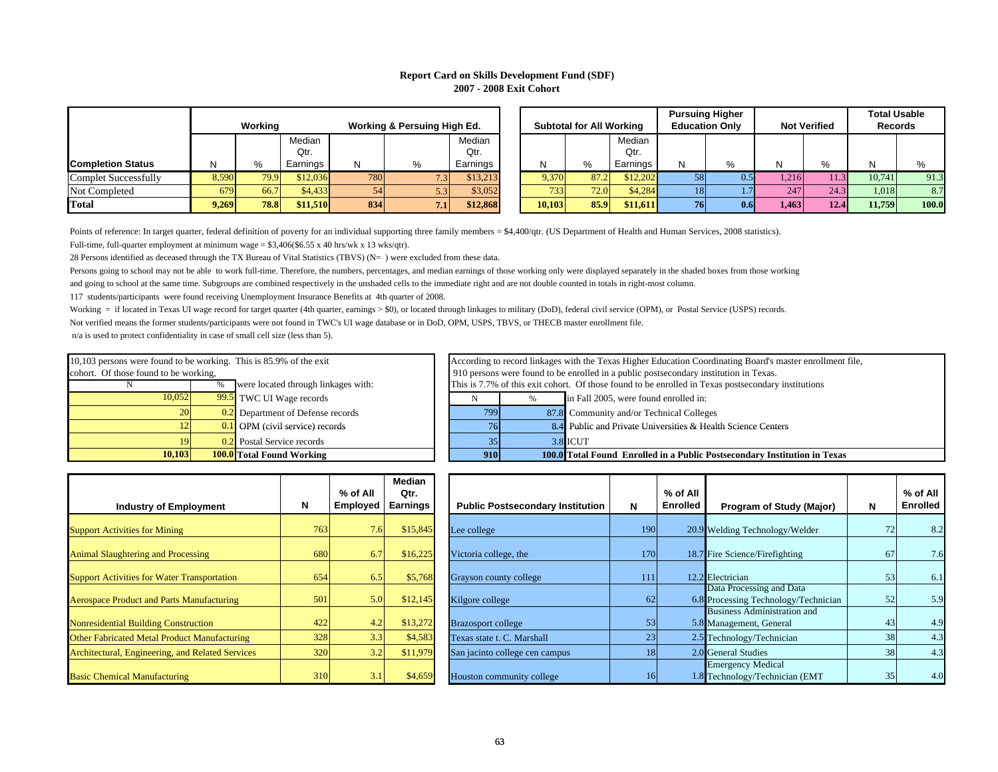### **Report Card on Skills Development Fund (SDF) 2007 - 2008 Exit Cohort**

|                          |       |         |          |                             |                   |          |  |                                 |      |          |    | <b>Pursuing Higher</b> |                     |      |                | <b>Total Usable</b> |
|--------------------------|-------|---------|----------|-----------------------------|-------------------|----------|--|---------------------------------|------|----------|----|------------------------|---------------------|------|----------------|---------------------|
|                          |       | Working |          | Working & Persuing High Ed. |                   |          |  | <b>Subtotal for All Working</b> |      |          |    | <b>Education Only</b>  | <b>Not Verified</b> |      | <b>Records</b> |                     |
|                          |       |         | Median   |                             |                   | Median   |  |                                 |      | Median   |    |                        |                     |      |                |                     |
|                          |       |         | Qtr.     |                             |                   | Qtr.     |  |                                 |      | Qtr.     |    |                        |                     |      |                |                     |
| <b>Completion Status</b> |       | %       | Earnings | N                           | %                 | Earnings |  |                                 | $\%$ | Earnings | N  |                        |                     |      |                |                     |
| Complet Successfully     | 8,590 | 79.9    | \$12,036 | <b>780</b>                  | $\overline{1.31}$ | \$13.213 |  | 9,370                           |      | \$12,202 |    | 0.5                    | .216                |      | 10,741         | 91.3                |
| Not Completed            | 679   | 66.7    | \$4,433  | 54                          | $5.3\vert\vert$   | \$3,052  |  | 733.                            | 72.0 | \$4,284  | 18 |                        | 247                 | 24.3 | 1.018          | 8.7                 |
| <b>Total</b>             | 9,269 | 78.8    | \$11,510 | 834                         | 7.1               | \$12,868 |  | 10,103                          | 85.9 | \$11,611 | 76 | 0.6 <sub>l</sub>       | 1.463               | 12.4 | 11.759         | 100.0               |

|                   |       | Workina     |                            | Working & Persuing High Ed. |     |                            | <b>Subtotal for All Working</b> |      |                            |     | <b>Pursuing Higher</b><br><b>Education Only</b> |       | <b>Not Verified</b> | <b>Total Usable</b><br><b>Records</b> |       |
|-------------------|-------|-------------|----------------------------|-----------------------------|-----|----------------------------|---------------------------------|------|----------------------------|-----|-------------------------------------------------|-------|---------------------|---------------------------------------|-------|
| pletion Status    |       | %           | Median<br>Qtr.<br>Earnings | N                           | %   | Median<br>Qtr.<br>Earnings | N                               | %    | Median<br>Qtr.<br>Earnings | N   | %                                               | N     | %                   | N                                     | %     |
| plet Successfully | 8,590 | 79.9        | \$12,036                   | 780                         | 7.3 | \$13,213                   | 9,370                           | 87.2 | \$12.202                   | 581 | 0.5                                             | 1,216 |                     | 10.741                                | 91.3  |
| Completed         | 679   | 66.7        | \$4,433                    |                             | 5.3 | \$3,052                    | 733                             | 72.0 | \$4,284                    | 18  |                                                 | 247   | 24.3                | 1,018                                 | 8.7   |
|                   | 9.269 | <b>78.8</b> | \$11,510                   | 834                         | 7.1 | \$12,868                   | 10.103                          | 85.9 | \$11.611                   | 76  | 0.6                                             | 1.463 | 12.4                | 11.759                                | 100.0 |

Points of reference: In target quarter, federal definition of poverty for an individual supporting three family members = \$4,400/qtr. (US Department of Health and Human Services, 2008 statistics).

Full-time, full-quarter employment at minimum wage =  $$3,406$ (\$6.55 x 40 hrs/wk x 13 wks/qtr).

28 Persons identified as deceased through the TX Bureau of Vital Statistics (TBVS) (N= ) were excluded from these data.

Persons going to school may not be able to work full-time. Therefore, the numbers, percentages, and median earnings of those working only were displayed separately in the shaded boxes from those working

and going to school at the same time. Subgroups are combined respectively in the unshaded cells to the immediate right and are not double counted in totals in right-most column.

117 students/participants were found receiving Unemployment Insurance Benefits at 4th quarter of 2008.

Working = if located in Texas UI wage record for target quarter (4th quarter, earnings > \$0), or located through linkages to military (DoD), federal civil service (OPM), or Postal Service (USPS) records.

Not verified means the former students/participants were not found in TWC's UI wage database or in DoD, OPM, USPS, TBVS, or THECB master enrollment file.

| 10.103                                                             |      | <b>100.0</b> Total Found Working     |                                       | 910 |                                          | 100.0 Total I |
|--------------------------------------------------------------------|------|--------------------------------------|---------------------------------------|-----|------------------------------------------|---------------|
| 9                                                                  | 0.2  | Postal Service records               |                                       | 35  |                                          | $3.8$ ICUT    |
| 12                                                                 |      | $0.1$ OPM (civil service) records    |                                       | 76  |                                          | 8.4 Public    |
| 20                                                                 |      | 0.2 Department of Defense records    |                                       | 799 |                                          | 87.8 Comm     |
| 10.052                                                             |      | 99.5 TWC UI Wage records             |                                       |     | $\%$                                     | in Fall       |
|                                                                    | $\%$ | were located through linkages with:  |                                       |     | This is 7.7% of this exit cohort. Of the |               |
| cohort. Of those found to be working,                              |      | 910 persons were found to be enrolle |                                       |     |                                          |               |
| 10,103 persons were found to be working. This is 85.9% of the exit |      |                                      | According to record linkages with the |     |                                          |               |

| 10,103 persons were found to be working. This is 85.9% of the exit |                                     | According to record linkages with the Texas Higher Education Coordinating Board's master enrollment file, |                                                                                       |            |          |                                                                                  |  |  |  |  |
|--------------------------------------------------------------------|-------------------------------------|-----------------------------------------------------------------------------------------------------------|---------------------------------------------------------------------------------------|------------|----------|----------------------------------------------------------------------------------|--|--|--|--|
| cohort. Of those found to be working,                              |                                     |                                                                                                           | 910 persons were found to be enrolled in a public postsecondary institution in Texas. |            |          |                                                                                  |  |  |  |  |
|                                                                    | were located through linkages with: | This is 7.7% of this exit cohort. Of those found to be enrolled in Texas postsecondary institutions       |                                                                                       |            |          |                                                                                  |  |  |  |  |
| 10.052                                                             |                                     | 99.5 TWC UI Wage records                                                                                  | in Fall 2005, were found enrolled in:                                                 |            |          |                                                                                  |  |  |  |  |
| <b>20</b>                                                          |                                     | 0.2 Department of Defense records                                                                         |                                                                                       | 799        |          | 87.8 Community and/or Technical Colleges                                         |  |  |  |  |
| 12                                                                 |                                     | $0.1$ OPM (civil service) records                                                                         |                                                                                       | 76         |          | 8.4 Public and Private Universities & Health Science Centers                     |  |  |  |  |
| 19                                                                 |                                     | 0.2 Postal Service records                                                                                |                                                                                       | 35         | 3.8 ICUT |                                                                                  |  |  |  |  |
| 10.103<br><b>100.0</b> Total Found Working                         |                                     |                                                                                                           |                                                                                       | <b>910</b> |          | <b>100.0</b> Total Found Enrolled in a Public Postsecondary Institution in Texas |  |  |  |  |

| <b>Industry of Employment</b>                       | N   | $%$ of All<br><b>Employed</b> | Median<br>Qtr.<br><b>Earnings</b> | <b>Public Postsecondary Institution</b> | N   | % of All<br><b>Enrolled</b> |
|-----------------------------------------------------|-----|-------------------------------|-----------------------------------|-----------------------------------------|-----|-----------------------------|
| <b>Support Activities for Mining</b>                | 763 | 7.6                           | \$15,845                          | Lee college                             | 190 | 20.9                        |
| <b>Animal Slaughtering and Processing</b>           | 680 | 6.7                           | \$16,225                          | Victoria college, the                   | 170 | 18.7                        |
| <b>Support Activities for Water Transportation</b>  | 654 | 6.5                           | \$5,768                           | Grayson county college                  | 111 | 12.2                        |
| <b>Aerospace Product and Parts Manufacturing</b>    | 501 | 5.0                           | \$12,145                          | Kilgore college                         | 62  | 6.8                         |
| Nonresidential Building Construction                | 422 | 4.2                           | \$13,272                          | <b>Brazosport college</b>               | 53  | 5.8                         |
| <b>Other Fabricated Metal Product Manufacturing</b> | 328 | 3.3                           | \$4,583                           | Texas state t. C. Marshall              | 23  | 2.5                         |
| Architectural, Engineering, and Related Services    | 320 | 3.2                           | \$11,979                          | San jacinto college cen campus          | 18  | 2.0                         |
| <b>Basic Chemical Manufacturing</b>                 | 310 | 3.1                           | \$4,659                           | Houston community college               | 16  | 1.8                         |

| <b>Industry of Employment</b>                       | N   | % of All<br>Employed | Median<br>Qtr.<br>Earnings | <b>Public Postsecondary Institution</b> | N    | % of All<br>Enrolled | Program of Study (Major)                                         | N  | $%$ of All<br><b>Enrolled</b> |
|-----------------------------------------------------|-----|----------------------|----------------------------|-----------------------------------------|------|----------------------|------------------------------------------------------------------|----|-------------------------------|
| <b>Support Activities for Mining</b>                | 763 | 7.6                  | \$15,845                   | Lee college                             | 190  |                      | 20.9 Welding Technology/Welder                                   |    | 8.2                           |
| <b>Animal Slaughtering and Processing</b>           | 680 | 6.7                  | \$16,225                   | Victoria college, the                   | 170I |                      | 18.7 Fire Science/Firefighting                                   | 67 | 7.6                           |
| <b>Support Activities for Water Transportation</b>  | 654 | 6.5                  | \$5,768                    | Grayson county college                  | 111  |                      | 12.2 Electrician                                                 | 53 | 6.1                           |
| <b>Aerospace Product and Parts Manufacturing</b>    | 501 | 5.0                  | \$12,145                   | Kilgore college                         | 62   |                      | Data Processing and Data<br>6.8 Processing Technology/Technician | 52 | 5.9                           |
| <b>Nonresidential Building Construction</b>         | 422 | 4.2                  | \$13,272                   | <b>Brazosport college</b>               | 53   |                      | Business Administration and<br>5.8 Management, General           | 43 | 4.9                           |
| <b>Other Fabricated Metal Product Manufacturing</b> | 328 | 3.3                  | \$4,583                    | Texas state t. C. Marshall              | 23   |                      | 2.5 Technology/Technician                                        | 38 | 4.3                           |
| Architectural, Engineering, and Related Services    | 320 | 3.2                  | \$11,979                   | San jacinto college cen campus          | 18   |                      | 2.0 General Studies                                              | 38 | 4.3                           |
| <b>Basic Chemical Manufacturing</b>                 | 310 | 3.1                  | \$4,659                    | Houston community college               |      |                      | <b>Emergency Medical</b><br>1.8 Technology/Technician (EMT)      | 35 | 4.0                           |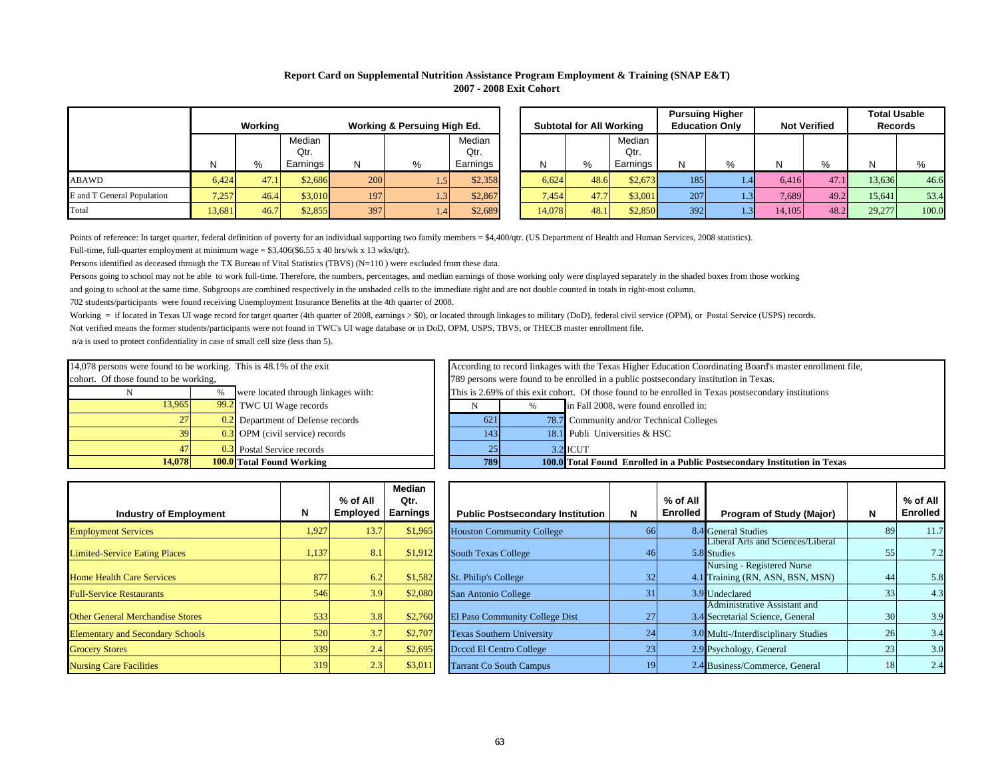# **Report Card on Supplemental Nutrition Assistance Program Employment & Training (SNAP E&T) 2007 - 2008 Exit Cohort**

|                            |        | Working<br>Working & Persuing High Ed. |                |     |                    |                |  | <b>Subtotal for All Working</b> |      |                |     | <b>Pursuing Higher</b><br><b>Education Only</b> | <b>Not Verified</b> |              | <b>Total Usable</b><br><b>Records</b> |       |
|----------------------------|--------|----------------------------------------|----------------|-----|--------------------|----------------|--|---------------------------------|------|----------------|-----|-------------------------------------------------|---------------------|--------------|---------------------------------------|-------|
|                            |        |                                        | Median<br>Qtr. |     |                    | Median<br>Qtr. |  |                                 |      | Median<br>Qtr. |     |                                                 |                     |              |                                       |       |
|                            | N      | %                                      | Earnings       | N   | %                  | Earnings       |  |                                 | %    | Earnings       | N   | %                                               |                     | $O_{\alpha}$ |                                       |       |
| ABAWD                      | 6,424  | 47.1                                   | \$2,686        | 200 | I 51               | \$2,358        |  | 6,624                           | 48.6 | \$2,673        | 185 |                                                 | 6.416               | 47.1         | 13,636                                | 46.6  |
| E and T General Population | 7,257  | 46.4                                   | \$3,010        | 197 | 3 <sub>l</sub>     | \$2,867        |  | 7.454                           | 47.7 | \$3,001        | 207 | 43F                                             | 7.689               | 49.2         | 15.641                                | 53.4  |
| Total                      | 13.681 | 46.7                                   | \$2,855        | 397 | $.4\triangleright$ | \$2,689        |  | 14.078                          | 48.1 | \$2,850        | 392 | 43F                                             | 14.105              | 48.2         | 29,277                                | 100.0 |

|                    |        |         |          |                             |                  |          |                                 |      |          | <b>Pursuing Higher</b> |   |                     |      | <b>Total Usable</b> |       |
|--------------------|--------|---------|----------|-----------------------------|------------------|----------|---------------------------------|------|----------|------------------------|---|---------------------|------|---------------------|-------|
|                    |        | Working |          | Working & Persuing High Ed. |                  |          | <b>Subtotal for All Working</b> |      |          | <b>Education Only</b>  |   | <b>Not Verified</b> |      | <b>Records</b>      |       |
|                    |        |         | Median   |                             |                  | Median   |                                 |      | Median   |                        |   |                     |      |                     |       |
|                    |        |         | Qtr.     |                             |                  | Qtr.     |                                 |      | Qtr.     |                        |   |                     |      |                     |       |
|                    |        | %       | Earnings | N                           | %                | Earnings | N                               | %    | Earnings | N                      | % |                     | %    | N                   | $\%$  |
|                    | 6.424  | 47.1    | \$2,686  | 200                         | 4.5 <sup>F</sup> | \$2,358  | 6,624                           | 48.6 | \$2,673  | 185                    |   | 6.416               | 47.1 | 13.636              | 46.6  |
| General Population | 7,257  | 46.4    | \$3,010  | 197                         | 1.3 <sup>°</sup> | \$2,867  | 7.454                           | 47.7 | \$3,001  | 207                    |   | 7.689               | 49.2 | 15.641              | 53.4  |
|                    | 13,681 | 46.7    | \$2,855  | 397                         | 1.4              | \$2,689  | 14.078                          | 48.1 | \$2,850  | 3921                   |   | 14.105              | 48.2 | 29,277              | 100.0 |

Points of reference: In target quarter, federal definition of poverty for an individual supporting two family members = \$4,400/qtr. (US Department of Health and Human Services, 2008 statistics). Full-time, full-quarter employment at minimum wage =  $$3,406 ($6.55 \times 40 \text{ hrs/wk x } 13 \text{ wks/qtr})$ .

Persons identified as deceased through the TX Bureau of Vital Statistics (TBVS) (N=110 ) were excluded from these data.

Persons going to school may not be able to work full-time. Therefore, the numbers, percentages, and median earnings of those working only were displayed separately in the shaded boxes from those working and going to school at the same time. Subgroups are combined respectively in the unshaded cells to the immediate right and are not double counted in totals in right-most column.

702 students/participants were found receiving Unemployment Insurance Benefits at the 4th quarter of 2008.

Working = if located in Texas UI wage record for target quarter (4th quarter of 2008, earnings > \$0), or located through linkages to military (DoD), federal civil service (OPM), or Postal Service (USPS) records.

Not verified means the former students/participants were not found in TWC's UI wage database or in DoD, OPM, USPS, TBVS, or THECB master enrollment file.

| 14,078                                                             |   | <b>100.0</b> Total Found Working    |  |  |  |  |  |  |  |  |  |
|--------------------------------------------------------------------|---|-------------------------------------|--|--|--|--|--|--|--|--|--|
| 47                                                                 |   | 0.3 Postal Service records          |  |  |  |  |  |  |  |  |  |
| 39                                                                 |   | $0.3$ OPM (civil service) records   |  |  |  |  |  |  |  |  |  |
| 27                                                                 |   | 0.2 Department of Defense records   |  |  |  |  |  |  |  |  |  |
| 13,965                                                             |   | 99.2 TWC UI Wage records            |  |  |  |  |  |  |  |  |  |
| N                                                                  | % | were located through linkages with: |  |  |  |  |  |  |  |  |  |
| cohort. Of those found to be working,                              |   |                                     |  |  |  |  |  |  |  |  |  |
| 14,078 persons were found to be working. This is 48.1% of the exit |   |                                     |  |  |  |  |  |  |  |  |  |

| 14,078                                                                                                      | <b>100.0</b> Total Found Working | 789                                 |                                                                                                                                                                                                    | 100.0 Total Found Enrolled in a Public Postsecondary Institution in Texas |                                          |  |  |  |  |  |  |
|-------------------------------------------------------------------------------------------------------------|----------------------------------|-------------------------------------|----------------------------------------------------------------------------------------------------------------------------------------------------------------------------------------------------|---------------------------------------------------------------------------|------------------------------------------|--|--|--|--|--|--|
|                                                                                                             |                                  | 0.3 Postal Service records          |                                                                                                                                                                                                    |                                                                           | $3.2$ ICUT                               |  |  |  |  |  |  |
|                                                                                                             |                                  | $0.3$ OPM (civil service) records   | 1431                                                                                                                                                                                               |                                                                           | 18.1 Publi Universities & HSC            |  |  |  |  |  |  |
|                                                                                                             |                                  | 0.2 Department of Defense records   | 621                                                                                                                                                                                                |                                                                           | 78.7 Community and/or Technical Colleges |  |  |  |  |  |  |
| 13.965                                                                                                      |                                  | 99.2 TWC UI Wage records            |                                                                                                                                                                                                    |                                                                           | in Fall 2008, were found enrolled in:    |  |  |  |  |  |  |
|                                                                                                             |                                  | were located through linkages with: | This is 2.69% of this exit cohort. Of those found to be enrolled in Texas postsecondary institutions                                                                                               |                                                                           |                                          |  |  |  |  |  |  |
| 14,078 persons were found to be working. This is 48.1% of the exit<br>cohort. Of those found to be working, |                                  |                                     | According to record linkages with the Texas Higher Education Coordinating Board's master enrollment file,<br>789 persons were found to be enrolled in a public postsecondary institution in Texas. |                                                                           |                                          |  |  |  |  |  |  |

| <b>Industry of Employment</b>           | N     | $%$ of All<br><b>Employed</b> | Median<br>Qtr.<br><b>Earnings</b> | <b>Public Postsecondary Institution</b> | N  | $%$ of All<br><b>Enrolled</b> |
|-----------------------------------------|-------|-------------------------------|-----------------------------------|-----------------------------------------|----|-------------------------------|
| <b>Employment Services</b>              | 1,927 | 13.7                          | \$1,965                           | <b>Houston Community College</b>        | 66 | 8.4                           |
| <b>Limited-Service Eating Places</b>    | 1.137 | 8.1                           | \$1,912                           | <b>South Texas College</b>              | 46 | 5.8                           |
| <b>Home Health Care Services</b>        | 877   | 6.2                           | \$1,582                           | St. Philip's College                    | 32 | 4.1                           |
| <b>Full-Service Restaurants</b>         | 546   | 3.9                           | \$2,080                           | San Antonio College                     | 31 | 3.9                           |
| <b>Other General Merchandise Stores</b> | 533   | 3.8                           | \$2,760                           | El Paso Community College Dist          | 27 | 3.4                           |
| <b>Elementary and Secondary Schools</b> | 520   | 3.7                           | \$2,707                           | <b>Texas Southern University</b>        | 24 | 3.0                           |
| <b>Grocery Stores</b>                   | 339   | 2.4                           | \$2,695                           | Deced El Centro College                 | 23 | 2.9                           |
| <b>Nursing Care Facilities</b>          | 319   | 2.3                           | \$3,011                           | <b>Tarrant Co South Campus</b>          | 19 | 2.4                           |

| <b>Industry of Employment</b>           | N     | % of All<br>Employed | Median<br>Qtr.<br>Earnings | <b>Public Postsecondary Institution</b> | N               | % of All<br><b>Enrolled</b> | Program of Study (Major)                                         | N  | % of All<br><b>Enrolled</b> |
|-----------------------------------------|-------|----------------------|----------------------------|-----------------------------------------|-----------------|-----------------------------|------------------------------------------------------------------|----|-----------------------------|
| <b>Employment Services</b>              | 1,927 | 13.7                 | \$1,965                    | <b>Houston Community College</b>        |                 |                             | 8.4 General Studies                                              | 89 | 11.7                        |
| <b>Limited-Service Eating Places</b>    | 1,137 | 8.1                  | \$1,912                    | <b>South Texas College</b>              | 46              |                             | Liberal Arts and Sciences/Liberal<br>5.8 Studies                 | 55 | 7.2                         |
| <b>Home Health Care Services</b>        | 877   | 6.2                  | \$1,582                    | St. Philip's College                    | 32 <sub>1</sub> |                             | Nursing - Registered Nurse<br>4.1 Training (RN, ASN, BSN, MSN)   | 44 | 5.8                         |
| <b>Full-Service Restaurants</b>         | 546   | 3.9                  | \$2,080                    | San Antonio College                     | 31              |                             | 3.9 Undeclared                                                   | 33 | 4.3                         |
| <b>Other General Merchandise Stores</b> | 533   | 3.8                  | \$2,760                    | El Paso Community College Dist          | 27              |                             | Administrative Assistant and<br>3.4 Secretarial Science, General | 30 | 3.9                         |
| <b>Elementary and Secondary Schools</b> | 520   | 3.7                  | \$2,707                    | <b>Texas Southern University</b>        | 24              |                             | 3.0 Multi-/Interdisciplinary Studies                             | 26 | 3.4                         |
| <b>Grocery Stores</b>                   | 339   | 2.4                  | \$2,695                    | Deced El Centro College                 | 23              |                             | 2.9 Psychology, General                                          | 23 | 3.0                         |
| <b>Nursing Care Facilities</b>          | 319   | 2.3                  | \$3,011                    | <b>Tarrant Co South Campus</b>          | 191             |                             | 2.4 Business/Commerce, General                                   | 18 | 2.4                         |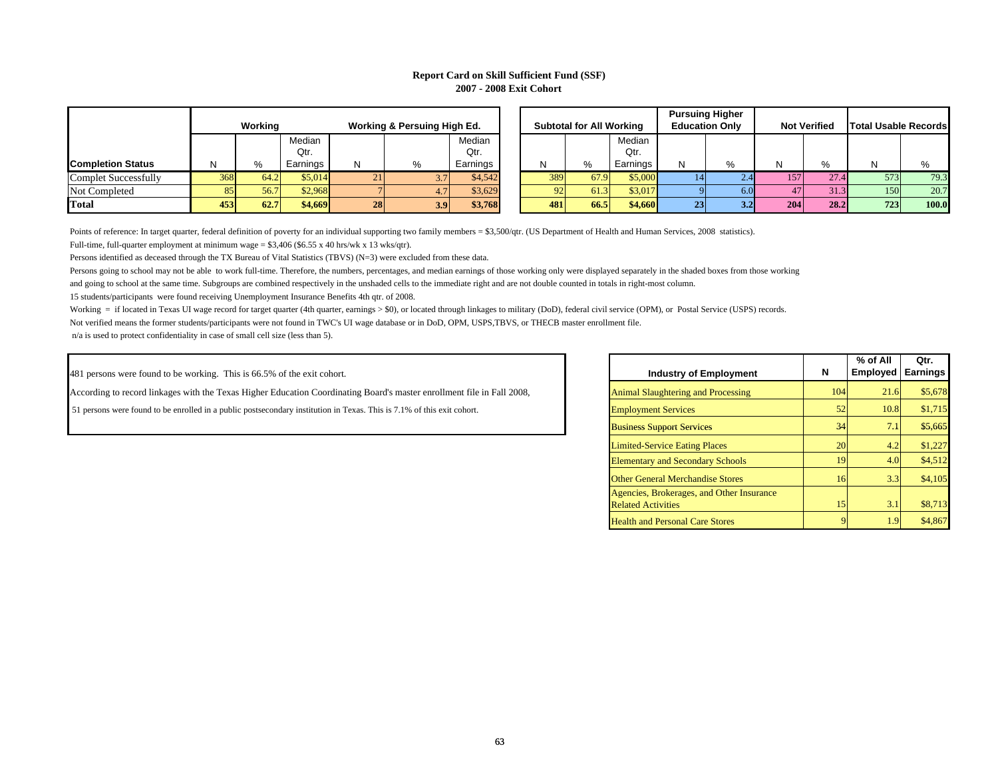#### **Report Card on Skill Sufficient Fund (SSF) 2007 - 2008 Exit Cohort**

|                          |     | Workina |                |                 | Working & Persuing High Ed. |                |   |     | <b>Subtotal for All Wo</b> |  |
|--------------------------|-----|---------|----------------|-----------------|-----------------------------|----------------|---|-----|----------------------------|--|
|                          |     |         | Median<br>Qtr. |                 |                             | Median<br>Qtr. |   |     |                            |  |
| <b>Completion Status</b> | N   | $\%$    | Earnings       | N               | %                           | Earnings       | N |     | %                          |  |
| Complet Successfully     | 368 | 64.2    | \$5.014        | 21 <sub>1</sub> | 3.7                         | \$4,542        |   | 389 | 67.9                       |  |
| Not Completed            | 85  | 56.7    | \$2,968        |                 | 4.7                         | \$3,629        |   | 92  | 61.3                       |  |
| Total                    | 453 | 62.7    | \$4,669        | 28              | 3.9                         | \$3,768        |   | 481 | 66.5                       |  |

|                          |     |         |          |     |                             |          |  |                                 |      |          | <b>Pursuing Higher</b><br><b>Education Only</b> |      | <b>Not Verified</b> |      |                             |       |
|--------------------------|-----|---------|----------|-----|-----------------------------|----------|--|---------------------------------|------|----------|-------------------------------------------------|------|---------------------|------|-----------------------------|-------|
|                          |     | Working |          |     | Working & Persuing High Ed. |          |  | <b>Subtotal for All Working</b> |      |          |                                                 |      |                     |      | <b>Total Usable Records</b> |       |
|                          |     |         | Median   |     |                             | Median   |  |                                 |      | Median   |                                                 |      |                     |      |                             |       |
|                          |     |         | Qtr.     |     |                             | Qtr.     |  |                                 |      | Qtr.     |                                                 |      |                     |      |                             |       |
| <b>Completion Status</b> |     | %       | Earnings | N   | $\%$                        | Earnings |  |                                 | %    | Earnings |                                                 | %    | N                   | %    |                             |       |
| Complet Successfully     | 368 | 64.2    | \$5,014  | 21. |                             | \$4,542  |  | 389                             | 67.9 | \$5,000  |                                                 |      | 157.                | 27.4 | 573                         | 79.3  |
| Not Completed            |     | 56.7    | \$2.968  |     |                             | \$3,629  |  | Q <sub>2</sub>                  | 61.3 | \$3,017  |                                                 | 5.01 |                     | 31.3 | 150                         | 20.7  |
| Total                    | 453 | 62.7    | \$4,669  | 28  | 3.9 <sup>°</sup>            | \$3,768  |  | 481                             | 66.5 | \$4,660  | 231                                             | 3.2  | 204                 | 28.2 | 723                         | 100.0 |

Points of reference: In target quarter, federal definition of poverty for an individual supporting two family members = \$3,500/qtr. (US Department of Health and Human Services, 2008 statistics).

Full-time, full-quarter employment at minimum wage =  $$3,406$  (\$6.55 x 40 hrs/wk x 13 wks/qtr).

Persons identified as deceased through the TX Bureau of Vital Statistics (TBVS) (N=3) were excluded from these data.

Persons going to school may not be able to work full-time. Therefore, the numbers, percentages, and median earnings of those working only were displayed separately in the shaded boxes from those working

and going to school at the same time. Subgroups are combined respectively in the unshaded cells to the immediate right and are not double counted in totals in right-most column.

15 students/participants were found receiving Unemployment Insurance Benefits 4th qtr. of 2008.

Working = if located in Texas UI wage record for target quarter (4th quarter, earnings > \$0), or located through linkages to military (DoD), federal civil service (OPM), or Postal Service (USPS) records.

Not verified means the former students/participants were not found in TWC's UI wage database or in DoD, OPM, USPS,TBVS, or THECB master enrollment file.

n/a is used to protect confidentiality in case of small cell size (less than 5).

481 persons were found to be working. This is 66.5% of the exit cohort.

According to record linkages with the Texas Higher Education Coordinating Board's master enrollment file in Fall 2008, Animal Slaughtering and Processing 104 21.6 \$5,678

ort. The enrolled in a public postsecondary institution in Texas. This is 7.1% of this exit cohort. **Employment Services** 52 10.8 \$1,715

| <b>Industry of Employment</b>                                          | N   | $%$ of All<br><b>Employed</b> | Qtr.<br><b>Earnings</b> |
|------------------------------------------------------------------------|-----|-------------------------------|-------------------------|
| <b>Animal Slaughtering and Processing</b>                              | 104 | 21.6                          | \$5,678                 |
| <b>Employment Services</b>                                             | 52  | 10.8                          | \$1,715                 |
| <b>Business Support Services</b>                                       | 34  | 7.1                           | \$5,665                 |
| <b>Limited-Service Eating Places</b>                                   | 20  | 4.2                           | \$1,227                 |
| <b>Elementary and Secondary Schools</b>                                | 19  | 4.0                           | \$4,512                 |
| <b>Other General Merchandise Stores</b>                                | 16  | 3.3                           | \$4,105                 |
| Agencies, Brokerages, and Other Insurance<br><b>Related Activities</b> | 15  | 3.1                           | \$8,713                 |
| <b>Health and Personal Care Stores</b>                                 | 9   | 1.9                           | \$4,867                 |
|                                                                        |     |                               |                         |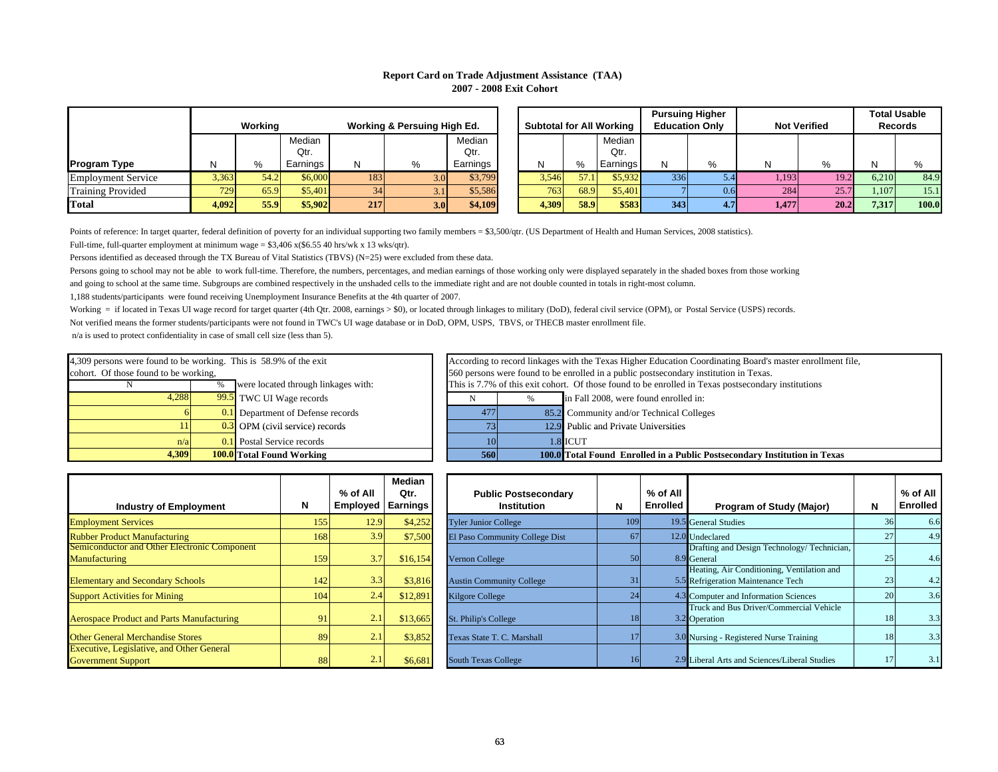# **Report Card on Trade Adjustment Assistance (TAA) 2007 - 2008 Exit Cohort**

|                           |       | Working |                |     | Working & Persuing High Ed. |                |       | <b>Subtotal for All Wo</b> |    |  |  |
|---------------------------|-------|---------|----------------|-----|-----------------------------|----------------|-------|----------------------------|----|--|--|
|                           |       |         | Median<br>Qtr. |     |                             | Median<br>Qtr. |       |                            | M  |  |  |
| <b>Program Type</b>       | N     | %       | Earnings       | N   | %                           | Earnings       | N     | %                          | Eε |  |  |
| <b>Employment Service</b> | 3.363 | 54.2    | \$6,000        | 183 | 3.0                         | \$3,799        | 3.546 | 57.1                       |    |  |  |
| <b>Training Provided</b>  | 729   | 65.9    | \$5,401        | 34  | 3.1                         | \$5,586        | 763   | 68.9                       |    |  |  |
| <b>Total</b>              | 4.092 | 55.9    | \$5,902        | 217 | 3.0                         | \$4,109        | 4,309 | 58.9                       |    |  |  |

|                           |       | Workina<br>Working & Persuing High Ed. |                |     |                  |                |       |      | Subtotal for All Working |     | <b>Pursuing Higher</b><br><b>Education Only</b> |       |      | <b>Total Usable</b><br><b>Not Verified</b><br><b>Records</b> |       |
|---------------------------|-------|----------------------------------------|----------------|-----|------------------|----------------|-------|------|--------------------------|-----|-------------------------------------------------|-------|------|--------------------------------------------------------------|-------|
|                           |       |                                        | Median<br>Qtr. |     |                  | Median<br>Qtr. |       |      | Median<br>Qtr.           |     |                                                 |       |      |                                                              |       |
| Program Type              | ΙN    | %                                      | Earnings       | N   |                  | Earnings       | N     |      | Earnings                 |     | 0/2                                             | N     | O/   |                                                              |       |
| <b>Employment Service</b> | 3,363 | 54.2                                   | \$6,000        | 183 | 3.OI             | \$3,799        | 3.546 | 57.1 | \$5,932                  | 336 | 5.4                                             | 1,193 | 19.2 | 6.210                                                        | 84.9  |
| Training Provided         | 729   | 65.9                                   | \$5,401        | 34  |                  | \$5,586        | 763   | 68.9 | \$5,401                  |     | 0.6                                             | 284   | 25.7 | 1.107                                                        | 15.1  |
| Total                     | 4.092 | 55.9                                   | \$5,902        | 217 | 3.0 <sub>l</sub> | <b>\$4.109</b> | 4.309 | 58.9 | \$583                    | 343 | 4.7 <sup>°</sup>                                | 4.477 | 20.2 | 7.317                                                        | 100.0 |

Points of reference: In target quarter, federal definition of poverty for an individual supporting two family members = \$3,500/qtr. (US Department of Health and Human Services, 2008 statistics).

Full-time, full-quarter employment at minimum wage =  $$3,406 \times ($6.55\,40 \text{ hrs/wk x 13 wks/qrt})$ .

Persons identified as deceased through the TX Bureau of Vital Statistics (TBVS) (N=25) were excluded from these data.

Persons going to school may not be able to work full-time. Therefore, the numbers, percentages, and median earnings of those working only were displayed separately in the shaded boxes from those working

and going to school at the same time. Subgroups are combined respectively in the unshaded cells to the immediate right and are not double counted in totals in right-most column.

1,188 students/participants were found receiving Unemployment Insurance Benefits at the 4th quarter of 2007.

Working = if located in Texas UI wage record for target quarter (4th Qtr. 2008, earnings > \$0), or located through linkages to military (DoD), federal civil service (OPM), or Postal Service (USPS) records. Not verified means the former students/participants were not found in TWC's UI wage database or in DoD, OPM, USPS, TBVS, or THECB master enrollment file.

n/a is used to protect confidentiality in case of small cell size (less than 5).

| 4.309                                                             | 560                                      | 100.0                          |                              |
|-------------------------------------------------------------------|------------------------------------------|--------------------------------|------------------------------|
| n/a                                                               | 0.1 Postal Service records               |                                | 1.8                          |
|                                                                   | $0.3$ OPM (civil service) records        | 73                             | 12.9                         |
|                                                                   | <b>0.1</b> Department of Defense records | 477                            | 85.2                         |
| 4.288                                                             | 99.5 TWC UI Wage records                 |                                |                              |
|                                                                   |                                          | This is 7.7% of this exit coho |                              |
| cohort. Of those found to be working,                             |                                          |                                | 560 persons were found to be |
| 4,309 persons were found to be working. This is 58.9% of the exit |                                          |                                | According to record linkages |

 **Industry of Employment <sup>N</sup> % of All Employed Earnings Median Qtr.**  Rubber Product Manufacturing 168 3.9 \$7,500 Semiconductor and Other Electronic Compo nent **Manufacturing** 159Elementary and Secondary Schools 142  $3.3$   $3.816$ Support Activities for Mining  $104 \begin{vmatrix} 1 & 2.4 & 3.12,891 \end{vmatrix}$ Aerospace Product and Parts Manufacturing 91 91 2.1 \$13,665 Other General Merchandise Stores89 and 1990 and 1990 and 1990 and 1990 and 1990 and 1990 and 1990 and 1990 and 1990 and 1990 and 1990 and 1990 Executive, Legislative, and Other General

| 4,309 persons were found to be working. This is 58.9% of the exit |                                                      |                                   |                                                                                       |                                       |  |  | According to record linkages with the Texas Higher Education Coordinating Board's master enrollment file, |  |  |
|-------------------------------------------------------------------|------------------------------------------------------|-----------------------------------|---------------------------------------------------------------------------------------|---------------------------------------|--|--|-----------------------------------------------------------------------------------------------------------|--|--|
| cohort. Of those found to be working,                             |                                                      |                                   | 560 persons were found to be enrolled in a public postsecondary institution in Texas. |                                       |  |  |                                                                                                           |  |  |
|                                                                   | were located through linkages with:<br>$\frac{0}{0}$ |                                   |                                                                                       |                                       |  |  | This is 7.7% of this exit cohort. Of those found to be enrolled in Texas postsecondary institutions       |  |  |
| 4,288                                                             |                                                      | <b>99.5</b> TWC UI Wage records   |                                                                                       | in Fall 2008, were found enrolled in: |  |  |                                                                                                           |  |  |
|                                                                   |                                                      | 0.1 Department of Defense records |                                                                                       | 477                                   |  |  | 85.2 Community and/or Technical Colleges                                                                  |  |  |
|                                                                   |                                                      | $0.3$ OPM (civil service) records |                                                                                       |                                       |  |  | 12.9 Public and Private Universities                                                                      |  |  |
| n/a                                                               |                                                      | 0.1 Postal Service records        |                                                                                       | 101                                   |  |  | 1.8 ICUT                                                                                                  |  |  |

| 1.309 | $100.01$ <sup>T</sup><br><br>l`otal<br>Working<br>®ound | omu | 00.0 | Public.<br><b>Postsec</b><br>-c.nrolled in a "<br>.condar<br>' Found<br>™otal | Institution<br>r exas<br>m |
|-------|---------------------------------------------------------|-----|------|-------------------------------------------------------------------------------|----------------------------|
|       |                                                         |     |      |                                                                               |                            |

| <b>Industry of Employment</b>                                                 | N   | % of All<br>Employed   Earnings | Median<br>Qtr. | <b>Public Postsecondary</b><br><b>Institution</b> | N   | % of All<br><b>Enrolled</b> | <b>Program of Study (Major)</b>                                                  | N  | % of All<br>Enrolled |
|-------------------------------------------------------------------------------|-----|---------------------------------|----------------|---------------------------------------------------|-----|-----------------------------|----------------------------------------------------------------------------------|----|----------------------|
| <b>Employment Services</b>                                                    | 155 | 12.9                            | \$4,252        | <b>Tyler Junior College</b>                       | 109 |                             | 19.5 General Studies                                                             | 36 | 6.6                  |
| <b>Rubber Product Manufacturing</b>                                           | 168 | 3.9                             | \$7,500        | El Paso Community College Dist                    | 67  |                             | 12.0 Undeclared                                                                  | 27 | 4.9                  |
| <b>Semiconductor and Other Electronic Component</b><br><b>Manufacturing</b>   | 159 |                                 | \$16,154       | <b>Vernon College</b>                             | 50  |                             | Drafting and Design Technology/Technician,<br>8.9 General                        | 25 | 4.6                  |
| <b>Elementary and Secondary Schools</b>                                       | 142 | 3.3                             | \$3,816        | <b>Austin Community College</b>                   |     |                             | Heating, Air Conditioning, Ventilation and<br>5.5 Refrigeration Maintenance Tech | 23 | 4.2                  |
| <b>Support Activities for Mining</b>                                          | 104 | 2.4                             | \$12,891       | <b>Kilgore College</b>                            | 24  |                             | 4.3 Computer and Information Sciences                                            |    | 3.6                  |
| <b>Aerospace Product and Parts Manufacturing</b>                              | 91  |                                 | \$13,665       | St. Philip's College                              | 18  |                             | Truck and Bus Driver/Commercial Vehicle<br>3.2 Operation                         | 18 | 3.3                  |
| <b>Other General Merchandise Stores</b>                                       | 89  | 2.1                             | \$3,852        | Texas State T. C. Marshall                        |     |                             | 3.0 Nursing - Registered Nurse Training                                          |    | 3.3                  |
| <b>Executive, Legislative, and Other General</b><br><b>Government Support</b> | 88  | 2.1                             | \$6,681        | <b>South Texas College</b>                        | 16  |                             | 2.9 Liberal Arts and Sciences/Liberal Studies                                    |    | 3.1                  |